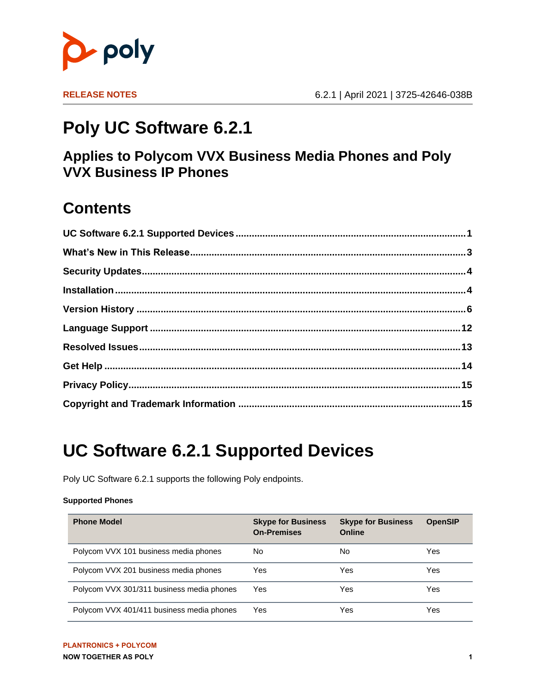

# **Poly UC Software 6.2.1**

### **Applies to Polycom VVX Business Media Phones and Poly VVX Business IP Phones**

## **Contents**

# <span id="page-0-0"></span>**UC Software 6.2.1 Supported Devices**

Poly UC Software 6.2.1 supports the following Poly endpoints.

#### **Supported Phones**

| <b>Phone Model</b>                        | <b>Skype for Business</b><br><b>On-Premises</b> | <b>Skype for Business</b><br>Online | <b>OpenSIP</b> |
|-------------------------------------------|-------------------------------------------------|-------------------------------------|----------------|
| Polycom VVX 101 business media phones     | No                                              | No                                  | Yes            |
| Polycom VVX 201 business media phones     | Yes                                             | Yes                                 | Yes            |
| Polycom VVX 301/311 business media phones | Yes                                             | Yes                                 | Yes            |
| Polycom VVX 401/411 business media phones | Yes                                             | Yes                                 | Yes            |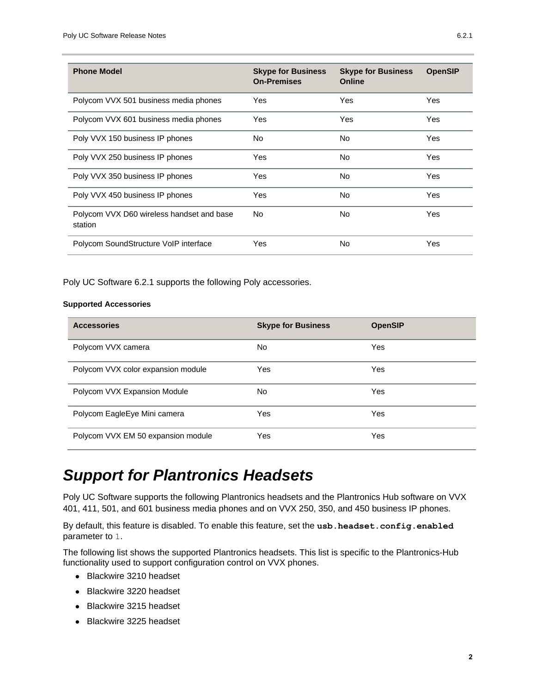| <b>Phone Model</b>                                   | <b>Skype for Business</b><br><b>On-Premises</b> | <b>Skype for Business</b><br>Online | <b>OpenSIP</b> |
|------------------------------------------------------|-------------------------------------------------|-------------------------------------|----------------|
| Polycom VVX 501 business media phones                | Yes                                             | Yes                                 | Yes            |
| Polycom VVX 601 business media phones                | Yes                                             | Yes                                 | Yes            |
| Poly VVX 150 business IP phones                      | No.                                             | No                                  | Yes            |
| Poly VVX 250 business IP phones                      | Yes.                                            | No.                                 | Yes            |
| Poly VVX 350 business IP phones                      | Yes                                             | No                                  | Yes            |
| Poly VVX 450 business IP phones                      | Yes                                             | No                                  | Yes            |
| Polycom VVX D60 wireless handset and base<br>station | No.                                             | No.                                 | Yes            |
| Polycom SoundStructure VoIP interface                | Yes                                             | No                                  | Yes            |

Poly UC Software 6.2.1 supports the following Poly accessories.

#### **Supported Accessories**

| <b>Accessories</b>                 | <b>Skype for Business</b> | <b>OpenSIP</b> |
|------------------------------------|---------------------------|----------------|
| Polycom VVX camera                 | No.                       | Yes            |
| Polycom VVX color expansion module | Yes                       | Yes            |
| Polycom VVX Expansion Module       | No.                       | Yes            |
| Polycom EagleEye Mini camera       | Yes                       | Yes            |
| Polycom VVX EM 50 expansion module | Yes                       | Yes            |

## *Support for Plantronics Headsets*

Poly UC Software supports the following Plantronics headsets and the Plantronics Hub software on VVX 401, 411, 501, and 601 business media phones and on VVX 250, 350, and 450 business IP phones.

By default, this feature is disabled. To enable this feature, set the **usb.headset.config.enabled** parameter to 1.

The following list shows the supported Plantronics headsets. This list is specific to the Plantronics-Hub functionality used to support configuration control on VVX phones.

- Blackwire 3210 headset
- Blackwire 3220 headset
- Blackwire 3215 headset
- Blackwire 3225 headset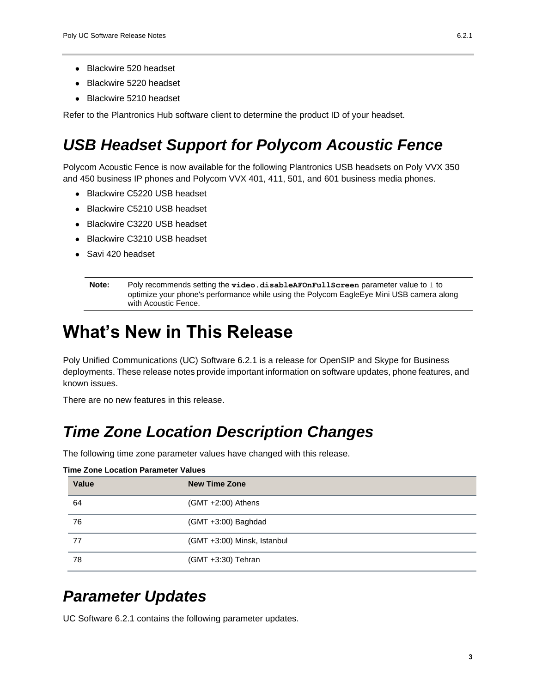- Blackwire 520 headset
- Blackwire 5220 headset
- Blackwire 5210 headset

Refer to the Plantronics Hub software client to determine the product ID of your headset.

## *USB Headset Support for Polycom Acoustic Fence*

Polycom Acoustic Fence is now available for the following Plantronics USB headsets on Poly VVX 350 and 450 business IP phones and Polycom VVX 401, 411, 501, and 601 business media phones.

- Blackwire C5220 USB headset
- Blackwire C5210 USB headset
- Blackwire C3220 USB headset
- Blackwire C3210 USB headset
- Savi 420 headset

```
Note: Poly recommends setting the video.disableAFOnFullScreen parameter value to 1 to 
optimize your phone's performance while using the Polycom EagleEye Mini USB camera along 
with Acoustic Fence.
```
## <span id="page-2-0"></span>**What's New in This Release**

Poly Unified Communications (UC) Software 6.2.1 is a release for OpenSIP and Skype for Business deployments. These release notes provide important information on software updates, phone features, and known issues.

There are no new features in this release.

### *Time Zone Location Description Changes*

The following time zone parameter values have changed with this release.

| Value | <b>New Time Zone</b>        |
|-------|-----------------------------|
| 64    | $(GMT + 2:00)$ Athens       |
| 76    | (GMT +3:00) Baghdad         |
| 77    | (GMT +3:00) Minsk, Istanbul |
| 78    | (GMT +3:30) Tehran          |

#### **Time Zone Location Parameter Values**

### *Parameter Updates*

UC Software 6.2.1 contains the following parameter updates.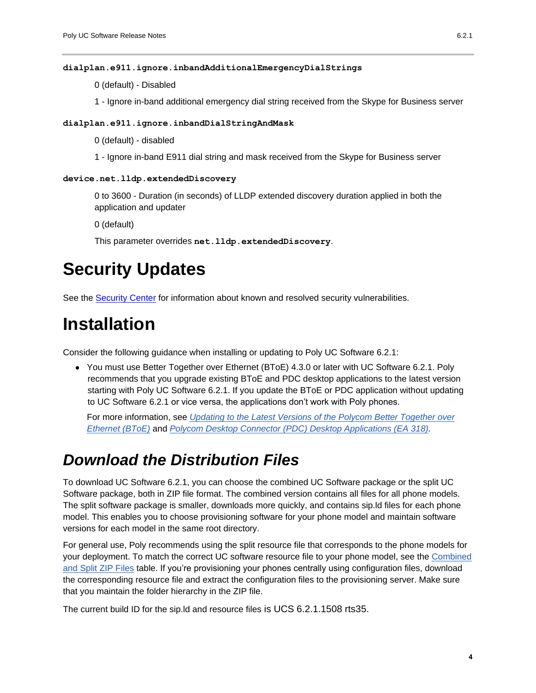#### **dialplan.e911.ignore.inbandAdditionalEmergencyDialStrings**

0 (default) - Disabled

1 - Ignore in-band additional emergency dial string received from the Skype for Business server

#### **dialplan.e911.ignore.inbandDialStringAndMask**

0 (default) - disabled

1 - Ignore in-band E911 dial string and mask received from the Skype for Business server

#### **device.net.lldp.extendedDiscovery**

0 to 3600 - Duration (in seconds) of LLDP extended discovery duration applied in both the application and updater

0 (default)

This parameter overrides **net.lldp.extendedDiscovery**.

## <span id="page-3-0"></span>**Security Updates**

See the [Security Center](https://support.polycom.com/content/support/security-center.html) for information about known and resolved security vulnerabilities.

## <span id="page-3-1"></span>**Installation**

Consider the following guidance when installing or updating to Poly UC Software 6.2.1:

● You must use Better Together over Ethernet (BToE) 4.3.0 or later with UC Software 6.2.1. Poly recommends that you upgrade existing BToE and PDC desktop applications to the latest version starting with Poly UC Software 6.2.1. If you update the BToE or PDC application without updating to UC Software 6.2.1 or vice versa, the applications don't work with Poly phones.

For more information, see *[Updating to the Latest Versions of the Polycom Better Together over](https://support.polycom.com/content/dam/polycom-support/products/voice/polycom-uc/other-documents/en/2018/bote-pdc-application-upgrade-ea318.pdf)  Ethernet (BToE)* and *[Polycom Desktop Connector \(PDC\) Desktop Applications \(EA 318\).](https://support.polycom.com/content/dam/polycom-support/products/voice/polycom-uc/other-documents/en/2018/bote-pdc-application-upgrade-ea318.pdf)*

### *Download the Distribution Files*

To download UC Software 6.2.1, you can choose the combined UC Software package or the split UC Software package, both in ZIP file format. The combined version contains all files for all phone models. The split software package is smaller, downloads more quickly, and contains sip.ld files for each phone model. This enables you to choose provisioning software for your phone model and maintain software versions for each model in the same root directory.

For general use, Poly recommends using the split resource file that corresponds to the phone models for your deployment. To match the correct UC software resource file to your phone model, see the [Combined](#page-4-0)  [and Split ZIP Files](#page-4-0) table. If you're provisioning your phones centrally using configuration files, download the corresponding resource file and extract the configuration files to the provisioning server. Make sure that you maintain the folder hierarchy in the ZIP file.

The current build ID for the sip.ld and resource files is UCS 6.2.1.1508 rts35.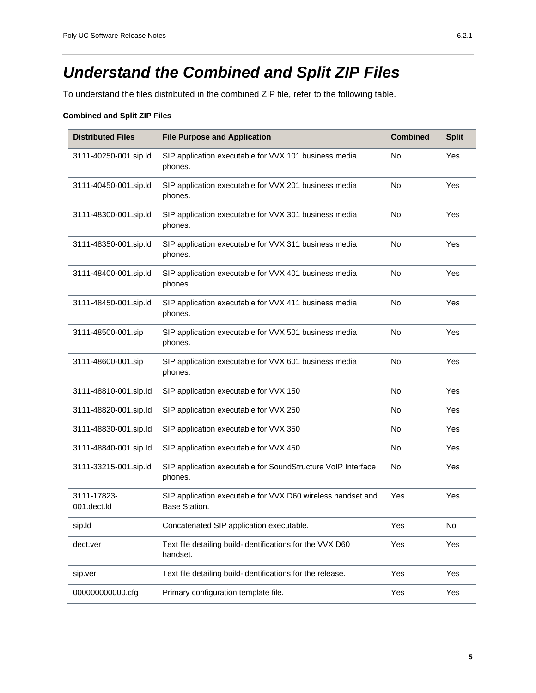## <span id="page-4-0"></span>*Understand the Combined and Split ZIP Files*

To understand the files distributed in the combined ZIP file, refer to the following table.

#### **Combined and Split ZIP Files**

| <b>Distributed Files</b>   | <b>File Purpose and Application</b>                                          | <b>Combined</b> | <b>Split</b> |
|----------------------------|------------------------------------------------------------------------------|-----------------|--------------|
| 3111-40250-001.sip.ld      | SIP application executable for VVX 101 business media<br>phones.             | No              | Yes          |
| 3111-40450-001.sip.ld      | SIP application executable for VVX 201 business media<br>phones.             | <b>No</b>       | Yes          |
| 3111-48300-001.sip.ld      | SIP application executable for VVX 301 business media<br>phones.             | No              | Yes          |
| 3111-48350-001.sip.ld      | SIP application executable for VVX 311 business media<br>phones.             | No              | Yes          |
| 3111-48400-001.sip.ld      | SIP application executable for VVX 401 business media<br>phones.             | <b>No</b>       | Yes          |
| 3111-48450-001.sip.ld      | SIP application executable for VVX 411 business media<br>phones.             | <b>No</b>       | Yes          |
| 3111-48500-001.sip         | SIP application executable for VVX 501 business media<br>phones.             | <b>No</b>       | Yes          |
| 3111-48600-001.sip         | SIP application executable for VVX 601 business media<br>phones.             | <b>No</b>       | Yes          |
| 3111-48810-001.sip.Id      | SIP application executable for VVX 150                                       | No              | Yes          |
| 3111-48820-001.sip.Id      | SIP application executable for VVX 250                                       | No              | Yes          |
| 3111-48830-001.sip.Id      | SIP application executable for VVX 350                                       | No              | Yes          |
| 3111-48840-001.sip.Id      | SIP application executable for VVX 450                                       | No              | Yes          |
| 3111-33215-001.sip.ld      | SIP application executable for SoundStructure VoIP Interface<br>phones.      | <b>No</b>       | Yes          |
| 3111-17823-<br>001.dect.ld | SIP application executable for VVX D60 wireless handset and<br>Base Station. | Yes             | Yes          |
| sip.ld                     | Concatenated SIP application executable.                                     | Yes             | No           |
| dect.ver                   | Text file detailing build-identifications for the VVX D60<br>handset.        | Yes             | Yes          |
| sip.ver                    | Text file detailing build-identifications for the release.                   | Yes             | Yes          |
| 00000000000.cfg            | Primary configuration template file.                                         | Yes             | Yes          |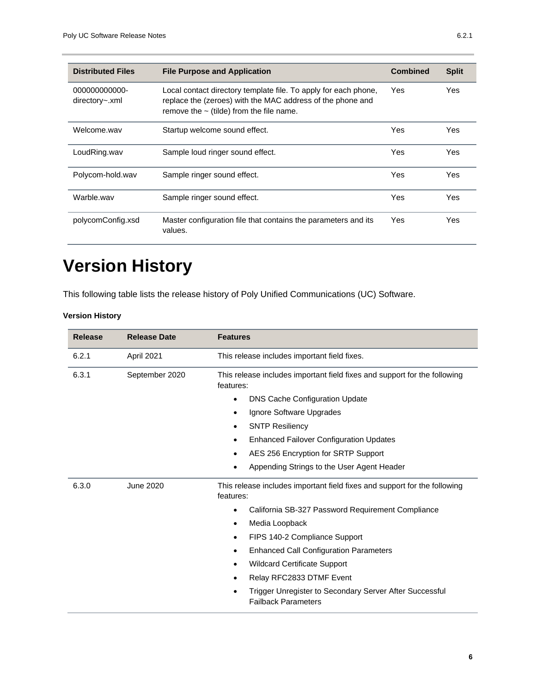| <b>Distributed Files</b>        | <b>File Purpose and Application</b>                                                                                                                                            | <b>Combined</b> | <b>Split</b> |
|---------------------------------|--------------------------------------------------------------------------------------------------------------------------------------------------------------------------------|-----------------|--------------|
| 000000000000-<br>directory~.xml | Local contact directory template file. To apply for each phone,<br>replace the (zeroes) with the MAC address of the phone and<br>remove the $\sim$ (tilde) from the file name. | Yes             | Yes          |
| Welcome.wav                     | Startup welcome sound effect.                                                                                                                                                  | Yes             | Yes          |
| LoudRing.wav                    | Sample loud ringer sound effect.                                                                                                                                               | Yes             | Yes          |
| Polycom-hold.wav                | Sample ringer sound effect.                                                                                                                                                    | Yes             | Yes          |
| Warble.wav                      | Sample ringer sound effect.                                                                                                                                                    | Yes             | Yes          |
| polycomConfig.xsd               | Master configuration file that contains the parameters and its<br>values.                                                                                                      | Yes             | Yes          |

# <span id="page-5-0"></span>**Version History**

This following table lists the release history of Poly Unified Communications (UC) Software.

**Version History**

| <b>Release</b> | <b>Release Date</b> | <b>Features</b>                                                                                                                                                                                                                                                                                                                                                                                                                                                                                |
|----------------|---------------------|------------------------------------------------------------------------------------------------------------------------------------------------------------------------------------------------------------------------------------------------------------------------------------------------------------------------------------------------------------------------------------------------------------------------------------------------------------------------------------------------|
| 6.2.1          | April 2021          | This release includes important field fixes.                                                                                                                                                                                                                                                                                                                                                                                                                                                   |
| 6.3.1          | September 2020      | This release includes important field fixes and support for the following<br>features:<br><b>DNS Cache Configuration Update</b><br>$\bullet$<br>Ignore Software Upgrades<br>٠<br><b>SNTP Resiliency</b><br>$\bullet$<br><b>Enhanced Failover Configuration Updates</b><br>$\bullet$<br>AES 256 Encryption for SRTP Support<br>٠<br>Appending Strings to the User Agent Header<br>٠                                                                                                             |
| 6.3.0          | June 2020           | This release includes important field fixes and support for the following<br>features:<br>California SB-327 Password Requirement Compliance<br>$\bullet$<br>Media Loopback<br>$\bullet$<br>FIPS 140-2 Compliance Support<br>$\bullet$<br><b>Enhanced Call Configuration Parameters</b><br>٠<br><b>Wildcard Certificate Support</b><br>$\bullet$<br>Relay RFC2833 DTMF Event<br>$\bullet$<br>Trigger Unregister to Secondary Server After Successful<br>$\bullet$<br><b>Failback Parameters</b> |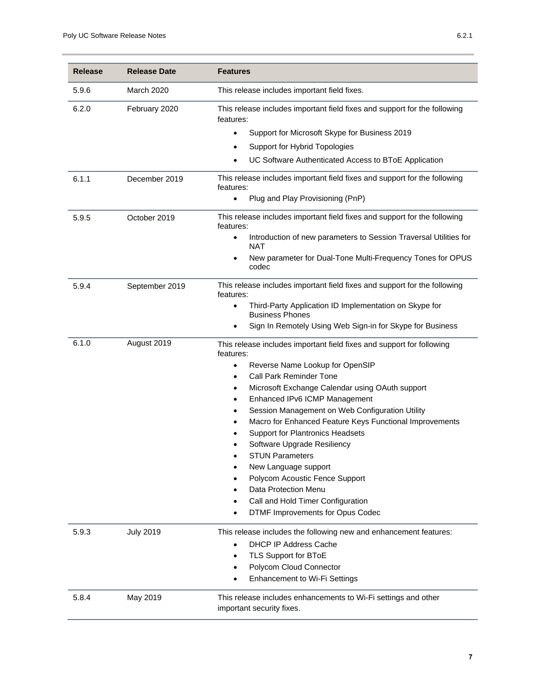| <b>Release</b> | <b>Release Date</b> | <b>Features</b>                                                                               |
|----------------|---------------------|-----------------------------------------------------------------------------------------------|
| 5.9.6          | March 2020          | This release includes important field fixes.                                                  |
| 6.2.0          | February 2020       | This release includes important field fixes and support for the following<br>features:        |
|                |                     | Support for Microsoft Skype for Business 2019<br>$\bullet$                                    |
|                |                     | Support for Hybrid Topologies<br>$\bullet$                                                    |
|                |                     | UC Software Authenticated Access to BToE Application<br>$\bullet$                             |
| 6.1.1          | December 2019       | This release includes important field fixes and support for the following<br>features:        |
|                |                     | Plug and Play Provisioning (PnP)<br>$\bullet$                                                 |
| 5.9.5          | October 2019        | This release includes important field fixes and support for the following<br>features:        |
|                |                     | Introduction of new parameters to Session Traversal Utilities for<br>$\bullet$<br><b>NAT</b>  |
|                |                     | New parameter for Dual-Tone Multi-Frequency Tones for OPUS<br>$\bullet$<br>codec              |
| 5.9.4          | September 2019      | This release includes important field fixes and support for the following<br>features:        |
|                |                     | Third-Party Application ID Implementation on Skype for<br>$\bullet$<br><b>Business Phones</b> |
|                |                     | Sign In Remotely Using Web Sign-in for Skype for Business<br>$\bullet$                        |
| 6.1.0          | August 2019         | This release includes important field fixes and support for following<br>features:            |
|                |                     | Reverse Name Lookup for OpenSIP<br>$\bullet$                                                  |
|                |                     | <b>Call Park Reminder Tone</b><br>٠                                                           |
|                |                     | Microsoft Exchange Calendar using OAuth support<br>٠                                          |
|                |                     | Enhanced IPv6 ICMP Management<br>$\bullet$                                                    |
|                |                     | Session Management on Web Configuration Utility                                               |
|                |                     | Macro for Enhanced Feature Keys Functional Improvements                                       |
|                |                     | <b>Support for Plantronics Headsets</b>                                                       |
|                |                     | Software Upgrade Resiliency<br><b>STUN Parameters</b>                                         |
|                |                     | ٠<br>New Language support                                                                     |
|                |                     | Polycom Acoustic Fence Support                                                                |
|                |                     | Data Protection Menu                                                                          |
|                |                     | Call and Hold Timer Configuration                                                             |
|                |                     | DTMF Improvements for Opus Codec                                                              |
| 5.9.3          | <b>July 2019</b>    | This release includes the following new and enhancement features:                             |
|                |                     | <b>DHCP IP Address Cache</b><br>$\bullet$                                                     |
|                |                     | TLS Support for BToE<br>$\bullet$                                                             |
|                |                     | Polycom Cloud Connector<br>$\bullet$                                                          |
|                |                     | Enhancement to Wi-Fi Settings<br>$\bullet$                                                    |
| 5.8.4          | May 2019            | This release includes enhancements to Wi-Fi settings and other<br>important security fixes.   |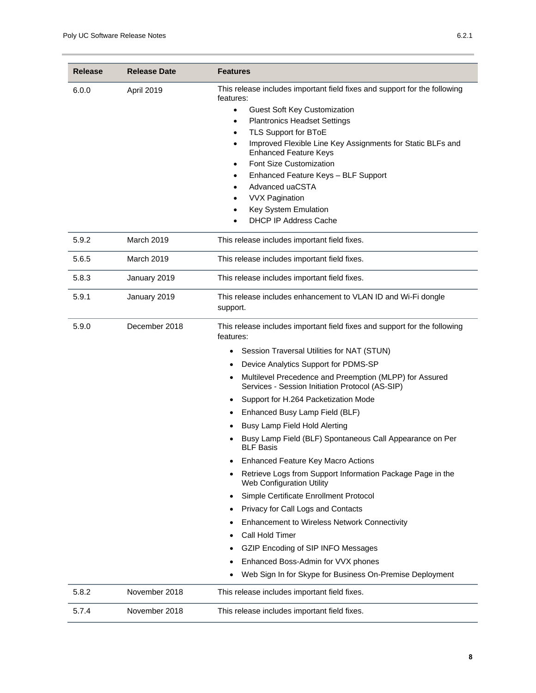| <b>Release</b> | <b>Release Date</b> | <b>Features</b>                                                                                            |
|----------------|---------------------|------------------------------------------------------------------------------------------------------------|
| 6.0.0          | April 2019          | This release includes important field fixes and support for the following<br>features:                     |
|                |                     | Guest Soft Key Customization<br>$\bullet$                                                                  |
|                |                     | <b>Plantronics Headset Settings</b><br>$\bullet$                                                           |
|                |                     | TLS Support for BToE<br>$\bullet$                                                                          |
|                |                     | Improved Flexible Line Key Assignments for Static BLFs and<br><b>Enhanced Feature Keys</b>                 |
|                |                     | Font Size Customization<br>٠                                                                               |
|                |                     | Enhanced Feature Keys - BLF Support                                                                        |
|                |                     | Advanced uaCSTA                                                                                            |
|                |                     | <b>VVX Pagination</b><br>Key System Emulation                                                              |
|                |                     | <b>DHCP IP Address Cache</b><br>$\bullet$                                                                  |
|                |                     |                                                                                                            |
| 5.9.2          | March 2019          | This release includes important field fixes.                                                               |
| 5.6.5          | March 2019          | This release includes important field fixes.                                                               |
| 5.8.3          | January 2019        | This release includes important field fixes.                                                               |
| 5.9.1          | January 2019        | This release includes enhancement to VLAN ID and Wi-Fi dongle<br>support.                                  |
| 5.9.0          | December 2018       | This release includes important field fixes and support for the following<br>features:                     |
|                |                     | Session Traversal Utilities for NAT (STUN)<br>٠                                                            |
|                |                     | Device Analytics Support for PDMS-SP                                                                       |
|                |                     | Multilevel Precedence and Preemption (MLPP) for Assured<br>Services - Session Initiation Protocol (AS-SIP) |
|                |                     | Support for H.264 Packetization Mode                                                                       |
|                |                     | Enhanced Busy Lamp Field (BLF)                                                                             |
|                |                     | Busy Lamp Field Hold Alerting                                                                              |
|                |                     | Busy Lamp Field (BLF) Spontaneous Call Appearance on Per<br><b>BLF Basis</b>                               |
|                |                     | <b>Enhanced Feature Key Macro Actions</b>                                                                  |
|                |                     | Retrieve Logs from Support Information Package Page in the<br><b>Web Configuration Utility</b>             |
|                |                     | Simple Certificate Enrollment Protocol<br>$\bullet$                                                        |
|                |                     | Privacy for Call Logs and Contacts                                                                         |
|                |                     | Enhancement to Wireless Network Connectivity                                                               |
|                |                     | Call Hold Timer                                                                                            |
|                |                     | GZIP Encoding of SIP INFO Messages                                                                         |
|                |                     | Enhanced Boss-Admin for VVX phones                                                                         |
|                |                     | Web Sign In for Skype for Business On-Premise Deployment                                                   |
| 5.8.2          | November 2018       | This release includes important field fixes.                                                               |
|                |                     |                                                                                                            |
| 5.7.4          | November 2018       | This release includes important field fixes.                                                               |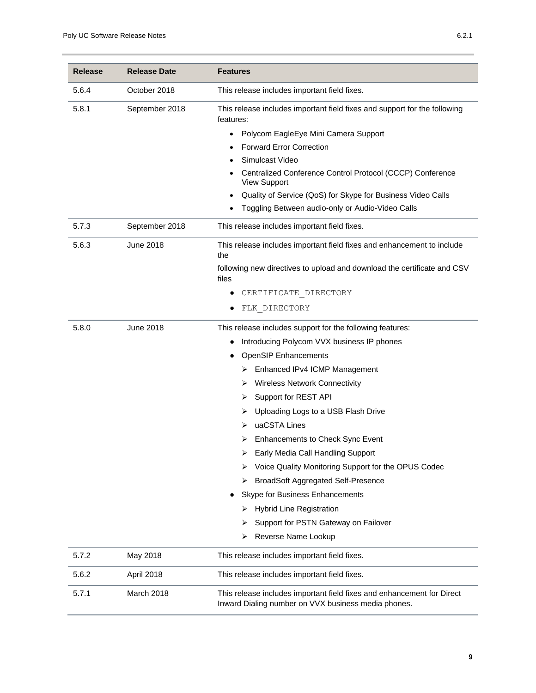| <b>Release</b> | <b>Release Date</b> | <b>Features</b>                                                                                                                                                                                                                                                                                                                                                                                                                                                                                                                                                                                                                                                           |
|----------------|---------------------|---------------------------------------------------------------------------------------------------------------------------------------------------------------------------------------------------------------------------------------------------------------------------------------------------------------------------------------------------------------------------------------------------------------------------------------------------------------------------------------------------------------------------------------------------------------------------------------------------------------------------------------------------------------------------|
| 5.6.4          | October 2018        | This release includes important field fixes.                                                                                                                                                                                                                                                                                                                                                                                                                                                                                                                                                                                                                              |
| 5.8.1          | September 2018      | This release includes important field fixes and support for the following<br>features:<br>Polycom EagleEye Mini Camera Support<br>$\bullet$<br><b>Forward Error Correction</b><br>$\bullet$<br>Simulcast Video<br>Centralized Conference Control Protocol (CCCP) Conference<br><b>View Support</b><br>Quality of Service (QoS) for Skype for Business Video Calls<br>$\bullet$<br>Toggling Between audio-only or Audio-Video Calls                                                                                                                                                                                                                                        |
| 5.7.3          | September 2018      | This release includes important field fixes.                                                                                                                                                                                                                                                                                                                                                                                                                                                                                                                                                                                                                              |
| 5.6.3          | <b>June 2018</b>    | This release includes important field fixes and enhancement to include<br>the<br>following new directives to upload and download the certificate and CSV<br>files<br>CERTIFICATE DIRECTORY<br>FLK DIRECTORY                                                                                                                                                                                                                                                                                                                                                                                                                                                               |
| 5.8.0          | June 2018           | This release includes support for the following features:<br>Introducing Polycom VVX business IP phones<br><b>OpenSIP Enhancements</b><br>Enhanced IPv4 ICMP Management<br>➤<br><b>Wireless Network Connectivity</b><br>➤<br>Support for REST API<br>➤<br>Uploading Logs to a USB Flash Drive<br>⋗<br>uaCSTA Lines<br>⋗<br><b>Enhancements to Check Sync Event</b><br>Early Media Call Handling Support<br>Voice Quality Monitoring Support for the OPUS Codec<br>⋗<br><b>BroadSoft Aggregated Self-Presence</b><br>➤<br>Skype for Business Enhancements<br><b>Hybrid Line Registration</b><br>➤<br>Support for PSTN Gateway on Failover<br>⋗<br>Reverse Name Lookup<br>⋗ |
| 5.7.2          | May 2018            | This release includes important field fixes.                                                                                                                                                                                                                                                                                                                                                                                                                                                                                                                                                                                                                              |
| 5.6.2          | April 2018          | This release includes important field fixes.                                                                                                                                                                                                                                                                                                                                                                                                                                                                                                                                                                                                                              |
| 5.7.1          | March 2018          | This release includes important field fixes and enhancement for Direct<br>Inward Dialing number on VVX business media phones.                                                                                                                                                                                                                                                                                                                                                                                                                                                                                                                                             |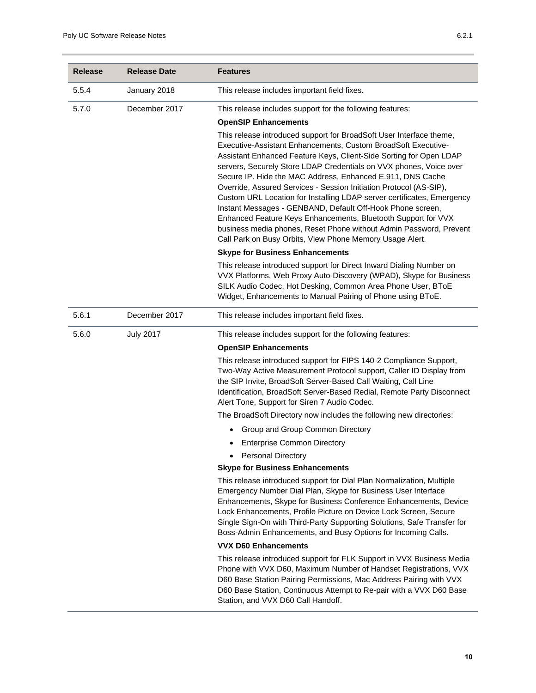| <b>Release</b> | <b>Release Date</b> | <b>Features</b>                                                                                                                                                                                                                                                                                                                                                                                                                                                                                                                                                                                                                                                                                                                                                 |
|----------------|---------------------|-----------------------------------------------------------------------------------------------------------------------------------------------------------------------------------------------------------------------------------------------------------------------------------------------------------------------------------------------------------------------------------------------------------------------------------------------------------------------------------------------------------------------------------------------------------------------------------------------------------------------------------------------------------------------------------------------------------------------------------------------------------------|
| 5.5.4          | January 2018        | This release includes important field fixes.                                                                                                                                                                                                                                                                                                                                                                                                                                                                                                                                                                                                                                                                                                                    |
| 5.7.0          | December 2017       | This release includes support for the following features:<br><b>OpenSIP Enhancements</b>                                                                                                                                                                                                                                                                                                                                                                                                                                                                                                                                                                                                                                                                        |
|                |                     | This release introduced support for BroadSoft User Interface theme,<br>Executive-Assistant Enhancements, Custom BroadSoft Executive-<br>Assistant Enhanced Feature Keys, Client-Side Sorting for Open LDAP<br>servers, Securely Store LDAP Credentials on VVX phones, Voice over<br>Secure IP. Hide the MAC Address, Enhanced E.911, DNS Cache<br>Override, Assured Services - Session Initiation Protocol (AS-SIP),<br>Custom URL Location for Installing LDAP server certificates, Emergency<br>Instant Messages - GENBAND, Default Off-Hook Phone screen,<br>Enhanced Feature Keys Enhancements, Bluetooth Support for VVX<br>business media phones, Reset Phone without Admin Password, Prevent<br>Call Park on Busy Orbits, View Phone Memory Usage Alert. |
|                |                     | <b>Skype for Business Enhancements</b>                                                                                                                                                                                                                                                                                                                                                                                                                                                                                                                                                                                                                                                                                                                          |
|                |                     | This release introduced support for Direct Inward Dialing Number on<br>VVX Platforms, Web Proxy Auto-Discovery (WPAD), Skype for Business<br>SILK Audio Codec, Hot Desking, Common Area Phone User, BToE<br>Widget, Enhancements to Manual Pairing of Phone using BToE.                                                                                                                                                                                                                                                                                                                                                                                                                                                                                         |
| 5.6.1          | December 2017       | This release includes important field fixes.                                                                                                                                                                                                                                                                                                                                                                                                                                                                                                                                                                                                                                                                                                                    |
| 5.6.0          | <b>July 2017</b>    | This release includes support for the following features:                                                                                                                                                                                                                                                                                                                                                                                                                                                                                                                                                                                                                                                                                                       |
|                |                     | <b>OpenSIP Enhancements</b>                                                                                                                                                                                                                                                                                                                                                                                                                                                                                                                                                                                                                                                                                                                                     |
|                |                     | This release introduced support for FIPS 140-2 Compliance Support,<br>Two-Way Active Measurement Protocol support, Caller ID Display from<br>the SIP Invite, BroadSoft Server-Based Call Waiting, Call Line<br>Identification, BroadSoft Server-Based Redial, Remote Party Disconnect<br>Alert Tone, Support for Siren 7 Audio Codec.                                                                                                                                                                                                                                                                                                                                                                                                                           |
|                |                     | The BroadSoft Directory now includes the following new directories:                                                                                                                                                                                                                                                                                                                                                                                                                                                                                                                                                                                                                                                                                             |
|                |                     | Group and Group Common Directory                                                                                                                                                                                                                                                                                                                                                                                                                                                                                                                                                                                                                                                                                                                                |
|                |                     | <b>Enterprise Common Directory</b>                                                                                                                                                                                                                                                                                                                                                                                                                                                                                                                                                                                                                                                                                                                              |
|                |                     | <b>Personal Directory</b><br>$\bullet$                                                                                                                                                                                                                                                                                                                                                                                                                                                                                                                                                                                                                                                                                                                          |
|                |                     | <b>Skype for Business Enhancements</b>                                                                                                                                                                                                                                                                                                                                                                                                                                                                                                                                                                                                                                                                                                                          |
|                |                     | This release introduced support for Dial Plan Normalization, Multiple<br>Emergency Number Dial Plan, Skype for Business User Interface<br>Enhancements, Skype for Business Conference Enhancements, Device<br>Lock Enhancements, Profile Picture on Device Lock Screen, Secure<br>Single Sign-On with Third-Party Supporting Solutions, Safe Transfer for<br>Boss-Admin Enhancements, and Busy Options for Incoming Calls.                                                                                                                                                                                                                                                                                                                                      |
|                |                     | <b>VVX D60 Enhancements</b>                                                                                                                                                                                                                                                                                                                                                                                                                                                                                                                                                                                                                                                                                                                                     |
|                |                     | This release introduced support for FLK Support in VVX Business Media<br>Phone with VVX D60, Maximum Number of Handset Registrations, VVX<br>D60 Base Station Pairing Permissions, Mac Address Pairing with VVX<br>D60 Base Station, Continuous Attempt to Re-pair with a VVX D60 Base<br>Station, and VVX D60 Call Handoff.                                                                                                                                                                                                                                                                                                                                                                                                                                    |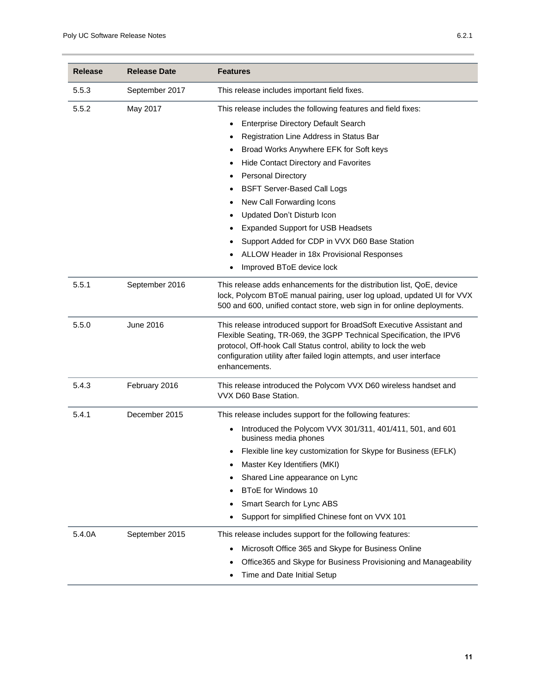| <b>Release</b> | <b>Release Date</b> | <b>Features</b>                                                                                                                                                                                                                                                                                                                                                                                                                                                                                                                                                                           |
|----------------|---------------------|-------------------------------------------------------------------------------------------------------------------------------------------------------------------------------------------------------------------------------------------------------------------------------------------------------------------------------------------------------------------------------------------------------------------------------------------------------------------------------------------------------------------------------------------------------------------------------------------|
| 5.5.3          | September 2017      | This release includes important field fixes.                                                                                                                                                                                                                                                                                                                                                                                                                                                                                                                                              |
| 5.5.2          | May 2017            | This release includes the following features and field fixes:<br><b>Enterprise Directory Default Search</b><br>Registration Line Address in Status Bar<br>$\bullet$<br>Broad Works Anywhere EFK for Soft keys<br>Hide Contact Directory and Favorites<br>$\bullet$<br><b>Personal Directory</b><br>٠<br><b>BSFT Server-Based Call Logs</b><br>$\bullet$<br>New Call Forwarding Icons<br>Updated Don't Disturb Icon<br><b>Expanded Support for USB Headsets</b><br>Support Added for CDP in VVX D60 Base Station<br>ALLOW Header in 18x Provisional Responses<br>Improved BToE device lock |
| 5.5.1          | September 2016      | This release adds enhancements for the distribution list, QoE, device<br>lock, Polycom BToE manual pairing, user log upload, updated UI for VVX<br>500 and 600, unified contact store, web sign in for online deployments.                                                                                                                                                                                                                                                                                                                                                                |
| 5.5.0          | June 2016           | This release introduced support for BroadSoft Executive Assistant and<br>Flexible Seating, TR-069, the 3GPP Technical Specification, the IPV6<br>protocol, Off-hook Call Status control, ability to lock the web<br>configuration utility after failed login attempts, and user interface<br>enhancements.                                                                                                                                                                                                                                                                                |
| 5.4.3          | February 2016       | This release introduced the Polycom VVX D60 wireless handset and<br>VVX D60 Base Station.                                                                                                                                                                                                                                                                                                                                                                                                                                                                                                 |
| 5.4.1          | December 2015       | This release includes support for the following features:<br>Introduced the Polycom VVX 301/311, 401/411, 501, and 601<br>$\bullet$<br>business media phones<br>Flexible line key customization for Skype for Business (EFLK)<br>Master Key Identifiers (MKI)<br>Shared Line appearance on Lync<br><b>BToE for Windows 10</b><br>Smart Search for Lync ABS<br>Support for simplified Chinese font on VVX 101                                                                                                                                                                              |
| 5.4.0A         | September 2015      | This release includes support for the following features:<br>Microsoft Office 365 and Skype for Business Online<br>Office365 and Skype for Business Provisioning and Manageability<br>Time and Date Initial Setup                                                                                                                                                                                                                                                                                                                                                                         |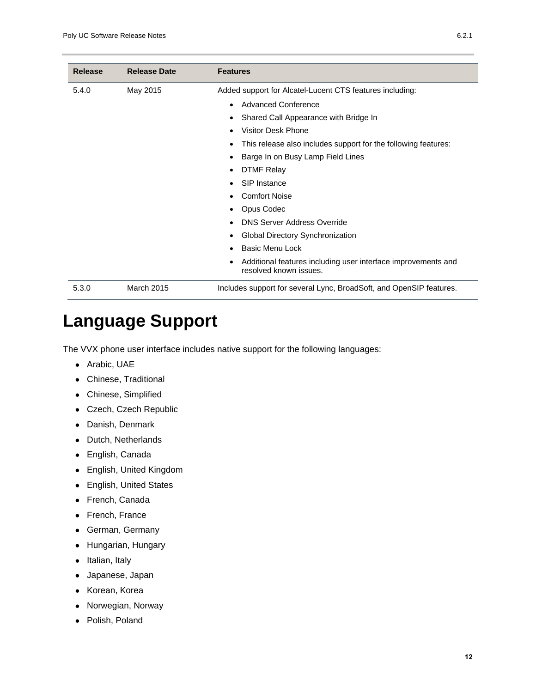| <b>Release</b> | <b>Release Date</b> | <b>Features</b>                                                                         |
|----------------|---------------------|-----------------------------------------------------------------------------------------|
| 5.4.0          | May 2015            | Added support for Alcatel-Lucent CTS features including:                                |
|                |                     | Advanced Conference                                                                     |
|                |                     | Shared Call Appearance with Bridge In                                                   |
|                |                     | Visitor Desk Phone                                                                      |
|                |                     | This release also includes support for the following features:                          |
|                |                     | Barge In on Busy Lamp Field Lines                                                       |
|                |                     | <b>DTMF Relay</b>                                                                       |
|                |                     | SIP Instance                                                                            |
|                |                     | <b>Comfort Noise</b>                                                                    |
|                |                     | Opus Codec                                                                              |
|                |                     | <b>DNS Server Address Override</b>                                                      |
|                |                     | Global Directory Synchronization                                                        |
|                |                     | Basic Menu Lock                                                                         |
|                |                     | Additional features including user interface improvements and<br>resolved known issues. |
| 5.3.0          | <b>March 2015</b>   | Includes support for several Lync, BroadSoft, and OpenSIP features.                     |

## <span id="page-11-0"></span>**Language Support**

The VVX phone user interface includes native support for the following languages:

- Arabic, UAE
- Chinese, Traditional
- Chinese, Simplified
- Czech, Czech Republic
- Danish, Denmark
- Dutch, Netherlands
- English, Canada
- English, United Kingdom
- English, United States
- French, Canada
- French, France
- German, Germany
- Hungarian, Hungary
- Italian, Italy
- Japanese, Japan
- Korean, Korea
- Norwegian, Norway
- Polish, Poland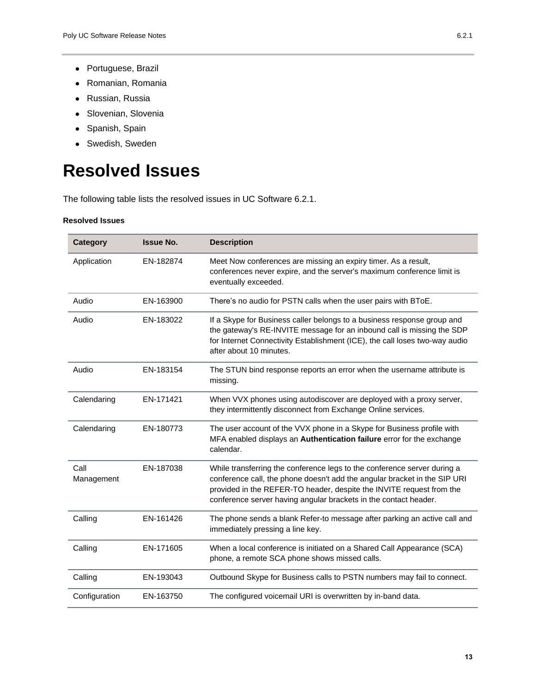- Romanian, Romania
- Russian, Russia
- Slovenian, Slovenia
- Spanish, Spain
- Swedish, Sweden

# <span id="page-12-0"></span>**Resolved Issues**

The following table lists the resolved issues in UC Software 6.2.1.

#### **Resolved Issues**

| <b>Category</b>    | <b>Issue No.</b> | <b>Description</b>                                                                                                                                                                                                                                                                                |
|--------------------|------------------|---------------------------------------------------------------------------------------------------------------------------------------------------------------------------------------------------------------------------------------------------------------------------------------------------|
| Application        | EN-182874        | Meet Now conferences are missing an expiry timer. As a result,<br>conferences never expire, and the server's maximum conference limit is<br>eventually exceeded.                                                                                                                                  |
| Audio              | EN-163900        | There's no audio for PSTN calls when the user pairs with BToE.                                                                                                                                                                                                                                    |
| Audio              | EN-183022        | If a Skype for Business caller belongs to a business response group and<br>the gateway's RE-INVITE message for an inbound call is missing the SDP<br>for Internet Connectivity Establishment (ICE), the call loses two-way audio<br>after about 10 minutes.                                       |
| Audio              | EN-183154        | The STUN bind response reports an error when the username attribute is<br>missing.                                                                                                                                                                                                                |
| Calendaring        | EN-171421        | When VVX phones using autodiscover are deployed with a proxy server,<br>they intermittently disconnect from Exchange Online services.                                                                                                                                                             |
| Calendaring        | EN-180773        | The user account of the VVX phone in a Skype for Business profile with<br>MFA enabled displays an Authentication failure error for the exchange<br>calendar.                                                                                                                                      |
| Call<br>Management | EN-187038        | While transferring the conference legs to the conference server during a<br>conference call, the phone doesn't add the angular bracket in the SIP URI<br>provided in the REFER-TO header, despite the INVITE request from the<br>conference server having angular brackets in the contact header. |
| Calling            | EN-161426        | The phone sends a blank Refer-to message after parking an active call and<br>immediately pressing a line key.                                                                                                                                                                                     |
| Calling            | EN-171605        | When a local conference is initiated on a Shared Call Appearance (SCA)<br>phone, a remote SCA phone shows missed calls.                                                                                                                                                                           |
| Calling            | EN-193043        | Outbound Skype for Business calls to PSTN numbers may fail to connect.                                                                                                                                                                                                                            |
| Configuration      | EN-163750        | The configured voicemail URI is overwritten by in-band data.                                                                                                                                                                                                                                      |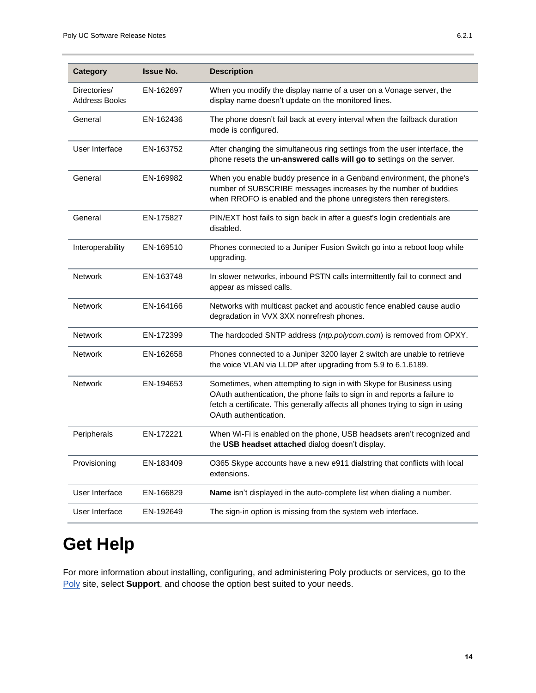| <b>Category</b>                      | <b>Issue No.</b> | <b>Description</b>                                                                                                                                                                                                                                          |
|--------------------------------------|------------------|-------------------------------------------------------------------------------------------------------------------------------------------------------------------------------------------------------------------------------------------------------------|
| Directories/<br><b>Address Books</b> | EN-162697        | When you modify the display name of a user on a Vonage server, the<br>display name doesn't update on the monitored lines.                                                                                                                                   |
| General                              | EN-162436        | The phone doesn't fail back at every interval when the failback duration<br>mode is configured.                                                                                                                                                             |
| User Interface                       | EN-163752        | After changing the simultaneous ring settings from the user interface, the<br>phone resets the un-answered calls will go to settings on the server.                                                                                                         |
| General                              | EN-169982        | When you enable buddy presence in a Genband environment, the phone's<br>number of SUBSCRIBE messages increases by the number of buddies<br>when RROFO is enabled and the phone unregisters then reregisters.                                                |
| General                              | EN-175827        | PIN/EXT host fails to sign back in after a guest's login credentials are<br>disabled.                                                                                                                                                                       |
| Interoperability                     | EN-169510        | Phones connected to a Juniper Fusion Switch go into a reboot loop while<br>upgrading.                                                                                                                                                                       |
| <b>Network</b>                       | EN-163748        | In slower networks, inbound PSTN calls intermittently fail to connect and<br>appear as missed calls.                                                                                                                                                        |
| <b>Network</b>                       | EN-164166        | Networks with multicast packet and acoustic fence enabled cause audio<br>degradation in VVX 3XX nonrefresh phones.                                                                                                                                          |
| <b>Network</b>                       | EN-172399        | The hardcoded SNTP address (ntp.polycom.com) is removed from OPXY.                                                                                                                                                                                          |
| <b>Network</b>                       | EN-162658        | Phones connected to a Juniper 3200 layer 2 switch are unable to retrieve<br>the voice VLAN via LLDP after upgrading from 5.9 to 6.1.6189.                                                                                                                   |
| <b>Network</b>                       | EN-194653        | Sometimes, when attempting to sign in with Skype for Business using<br>OAuth authentication, the phone fails to sign in and reports a failure to<br>fetch a certificate. This generally affects all phones trying to sign in using<br>OAuth authentication. |
| Peripherals                          | EN-172221        | When Wi-Fi is enabled on the phone, USB headsets aren't recognized and<br>the USB headset attached dialog doesn't display.                                                                                                                                  |
| Provisioning                         | EN-183409        | O365 Skype accounts have a new e911 dialstring that conflicts with local<br>extensions.                                                                                                                                                                     |
| User Interface                       | EN-166829        | Name isn't displayed in the auto-complete list when dialing a number.                                                                                                                                                                                       |
| User Interface                       | EN-192649        | The sign-in option is missing from the system web interface.                                                                                                                                                                                                |

## <span id="page-13-0"></span>**Get Help**

For more information about installing, configuring, and administering Poly products or services, go to the [Poly](https://www.poly.com/us/en) site, select **Support**, and choose the option best suited to your needs.